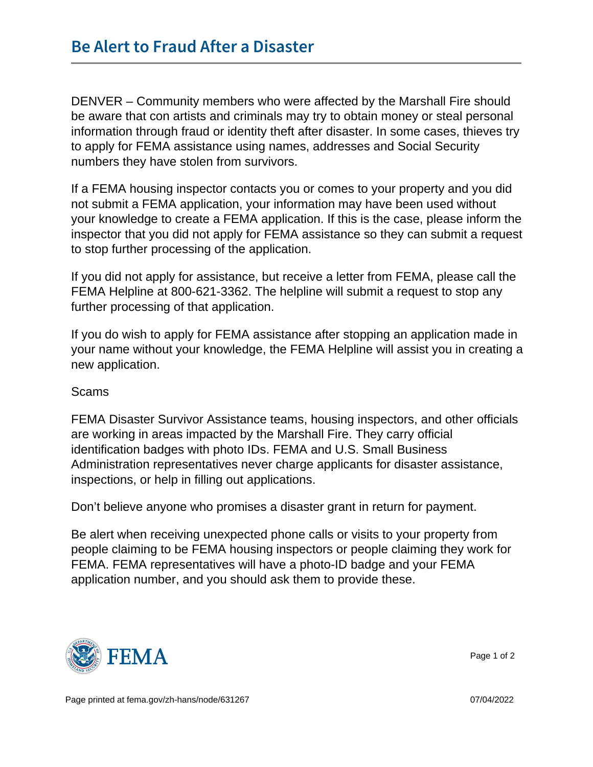DENVER – Community members who were affected by the Marshall Fire should be aware that con artists and criminals may try to obtain money or steal personal information through fraud or identity theft after disaster. In some cases, thieves try to apply for FEMA assistance using names, addresses and Social Security numbers they have stolen from survivors.

If a FEMA housing inspector contacts you or comes to your property and you did not submit a FEMA application, your information may have been used without your knowledge to create a FEMA application. If this is the case, please inform the inspector that you did not apply for FEMA assistance so they can submit a request to stop further processing of the application.

If you did not apply for assistance, but receive a letter from FEMA, please call the FEMA Helpline at 800-621-3362. The helpline will submit a request to stop any further processing of that application.

If you do wish to apply for FEMA assistance after stopping an application made in your name without your knowledge, the FEMA Helpline will assist you in creating a new application.

## Scams

FEMA Disaster Survivor Assistance teams, housing inspectors, and other officials are working in areas impacted by the Marshall Fire. They carry official identification badges with photo IDs. FEMA and U.S. Small Business Administration representatives never charge applicants for disaster assistance, inspections, or help in filling out applications.

Don't believe anyone who promises a disaster grant in return for payment.

Be alert when receiving unexpected phone calls or visits to your property from people claiming to be FEMA housing inspectors or people claiming they work for FEMA. FEMA representatives will have a photo-ID badge and your FEMA application number, and you should ask them to provide these.



Page 1 of 2